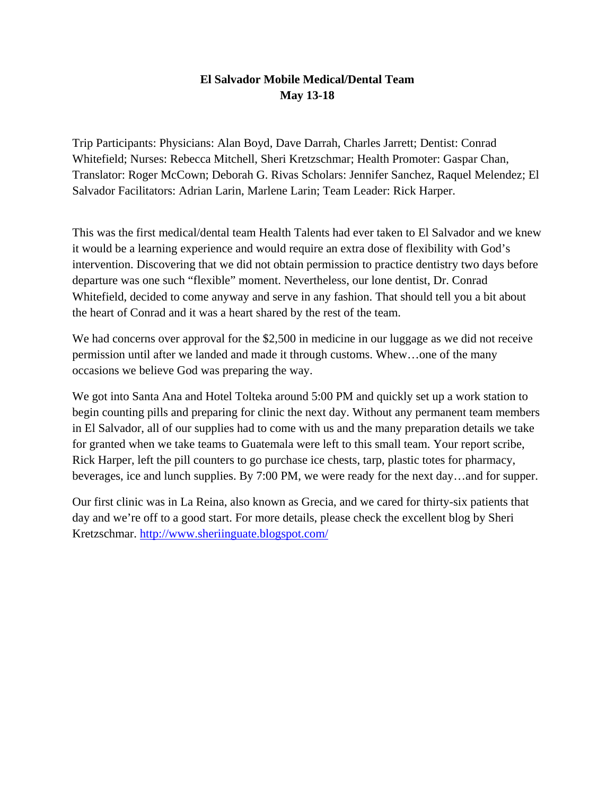## **El Salvador Mobile Medical/Dental Team May 13-18**

Trip Participants: Physicians: Alan Boyd, Dave Darrah, Charles Jarrett; Dentist: Conrad Whitefield; Nurses: Rebecca Mitchell, Sheri Kretzschmar; Health Promoter: Gaspar Chan, Translator: Roger McCown; Deborah G. Rivas Scholars: Jennifer Sanchez, Raquel Melendez; El Salvador Facilitators: Adrian Larin, Marlene Larin; Team Leader: Rick Harper.

This was the first medical/dental team Health Talents had ever taken to El Salvador and we knew it would be a learning experience and would require an extra dose of flexibility with God's intervention. Discovering that we did not obtain permission to practice dentistry two days before departure was one such "flexible" moment. Nevertheless, our lone dentist, Dr. Conrad Whitefield, decided to come anyway and serve in any fashion. That should tell you a bit about the heart of Conrad and it was a heart shared by the rest of the team.

We had concerns over approval for the \$2,500 in medicine in our luggage as we did not receive permission until after we landed and made it through customs. Whew…one of the many occasions we believe God was preparing the way.

We got into Santa Ana and Hotel Tolteka around 5:00 PM and quickly set up a work station to begin counting pills and preparing for clinic the next day. Without any permanent team members in El Salvador, all of our supplies had to come with us and the many preparation details we take for granted when we take teams to Guatemala were left to this small team. Your report scribe, Rick Harper, left the pill counters to go purchase ice chests, tarp, plastic totes for pharmacy, beverages, ice and lunch supplies. By 7:00 PM, we were ready for the next day…and for supper.

Our first clinic was in La Reina, also known as Grecia, and we cared for thirty-six patients that day and we're off to a good start. For more details, please check the excellent blog by Sheri Kretzschmar.<http://www.sheriinguate.blogspot.com/>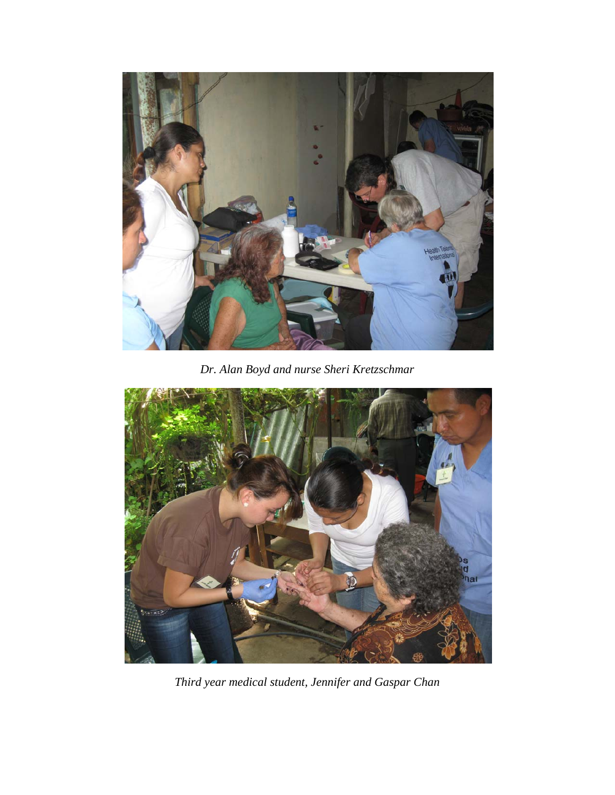

*Dr. Alan Boyd and nurse Sheri Kretzschmar* 



*Third year medical student, Jennifer and Gaspar Chan*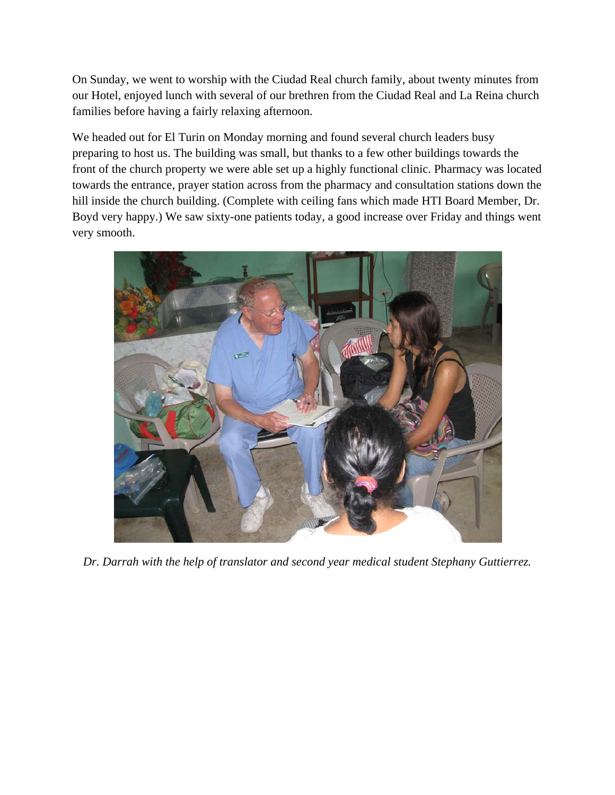On Sunday, we went to worship with the Ciudad Real church family, about twenty minutes from our Hotel, enjoyed lunch with several of our brethren from the Ciudad Real and La Reina church families before having a fairly relaxing afternoon.

We headed out for El Turin on Monday morning and found several church leaders busy preparing to host us. The building was small, but thanks to a few other buildings towards the front of the church property we were able set up a highly functional clinic. Pharmacy was located towards the entrance, prayer station across from the pharmacy and consultation stations down the hill inside the church building. (Complete with ceiling fans which made HTI Board Member, Dr. Boyd very happy.) We saw sixty-one patients today, a good increase over Friday and things went very smooth.



*Dr. Darrah with the help of translator and second year medical student Stephany Guttierrez.*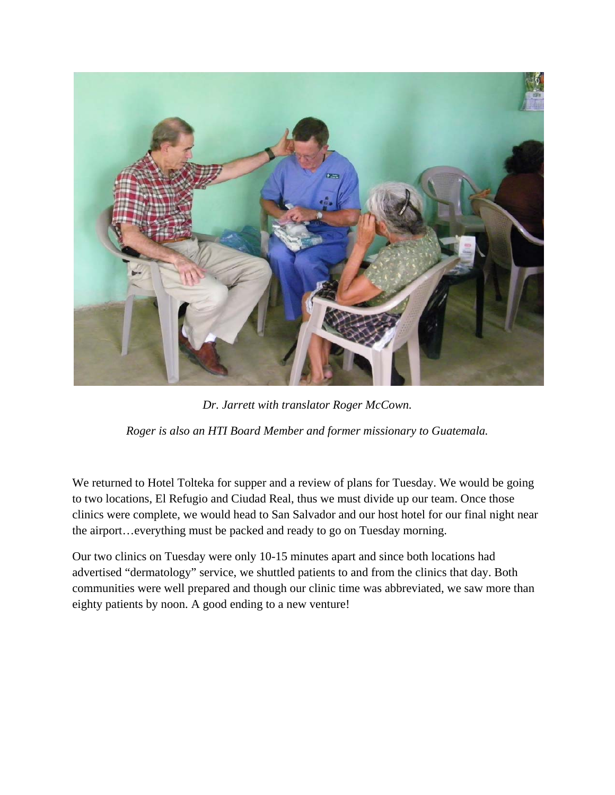

*Dr. Jarrett with translator Roger McCown.* 

*Roger is also an HTI Board Member and former missionary to Guatemala.* 

We returned to Hotel Tolteka for supper and a review of plans for Tuesday. We would be going to two locations, El Refugio and Ciudad Real, thus we must divide up our team. Once those clinics were complete, we would head to San Salvador and our host hotel for our final night near the airport…everything must be packed and ready to go on Tuesday morning.

Our two clinics on Tuesday were only 10-15 minutes apart and since both locations had advertised "dermatology" service, we shuttled patients to and from the clinics that day. Both communities were well prepared and though our clinic time was abbreviated, we saw more than eighty patients by noon. A good ending to a new venture!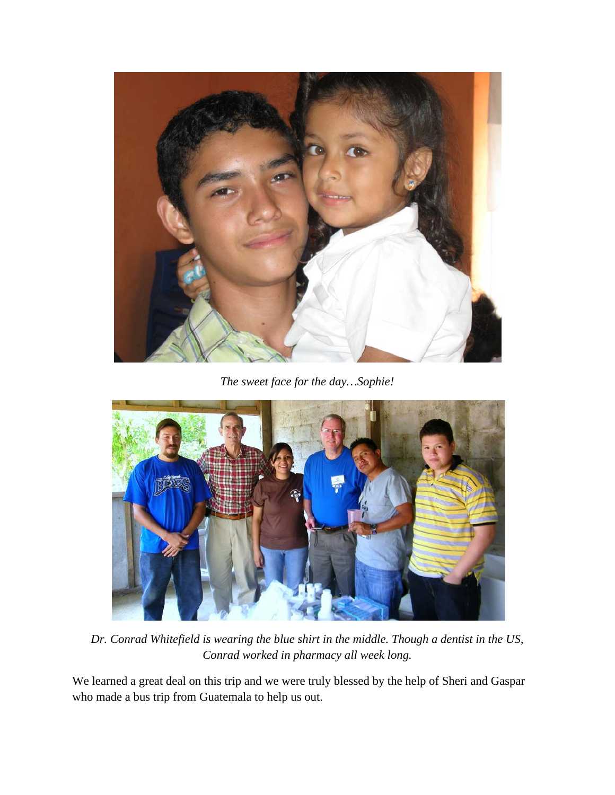

*The sweet face for the day…Sophie!* 



*Dr. Conrad Whitefield is wearing the blue shirt in the middle. Though a dentist in the US, Conrad worked in pharmacy all week long.* 

We learned a great deal on this trip and we were truly blessed by the help of Sheri and Gaspar who made a bus trip from Guatemala to help us out.